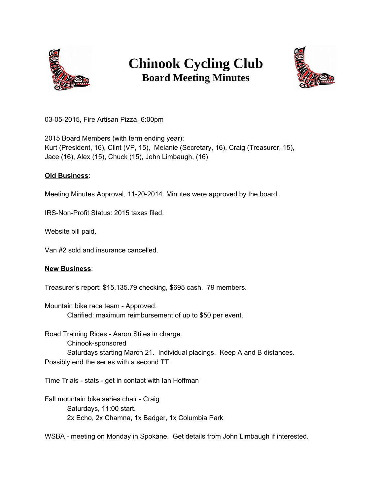

## **Chinook Cycling Club Board Meeting Minutes**



03-05-2015, Fire Artisan Pizza, 6:00pm

2015 Board Members (with term ending year): Kurt (President, 16), Clint (VP, 15), Melanie (Secretary, 16), Craig (Treasurer, 15), Jace (16), Alex (15), Chuck (15), John Limbaugh, (16)

## **Old Business**:

Meeting Minutes Approval, 11-20-2014. Minutes were approved by the board.

IRS-Non-Profit Status: 2015 taxes filed.

Website bill paid.

Van #2 sold and insurance cancelled.

## **New Business**:

Treasurer's report: \$15,135.79 checking, \$695 cash. 79 members.

Mountain bike race team - Approved. Clarified: maximum reimbursement of up to \$50 per event.

Road Training Rides - Aaron Stites in charge. Chinook-sponsored Saturdays starting March 21. Individual placings. Keep A and B distances. Possibly end the series with a second TT.

Time Trials - stats - get in contact with Ian Hoffman

Fall mountain bike series chair - Craig Saturdays, 11:00 start. 2x Echo, 2x Chamna, 1x Badger, 1x Columbia Park

WSBA - meeting on Monday in Spokane. Get details from John Limbaugh if interested.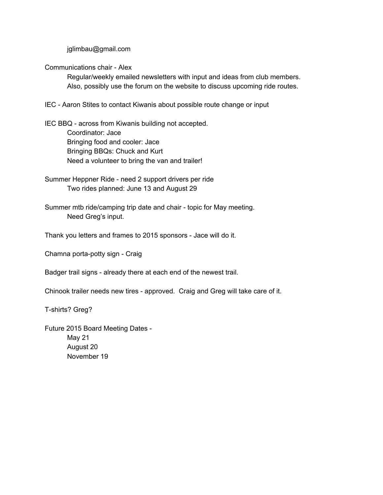jglimbau@gmail.com

Communications chair - Alex

Regular/weekly emailed newsletters with input and ideas from club members. Also, possibly use the forum on the website to discuss upcoming ride routes.

IEC - Aaron Stites to contact Kiwanis about possible route change or input

IEC BBQ - across from Kiwanis building not accepted. Coordinator: Jace Bringing food and cooler: Jace Bringing BBQs: Chuck and Kurt Need a volunteer to bring the van and trailer!

Summer Heppner Ride - need 2 support drivers per ride Two rides planned: June 13 and August 29

Summer mtb ride/camping trip date and chair - topic for May meeting. Need Greg's input.

Thank you letters and frames to 2015 sponsors - Jace will do it.

Chamna porta-potty sign - Craig

Badger trail signs - already there at each end of the newest trail.

Chinook trailer needs new tires - approved. Craig and Greg will take care of it.

T-shirts? Greg?

Future 2015 Board Meeting Dates - May 21 August 20 November 19